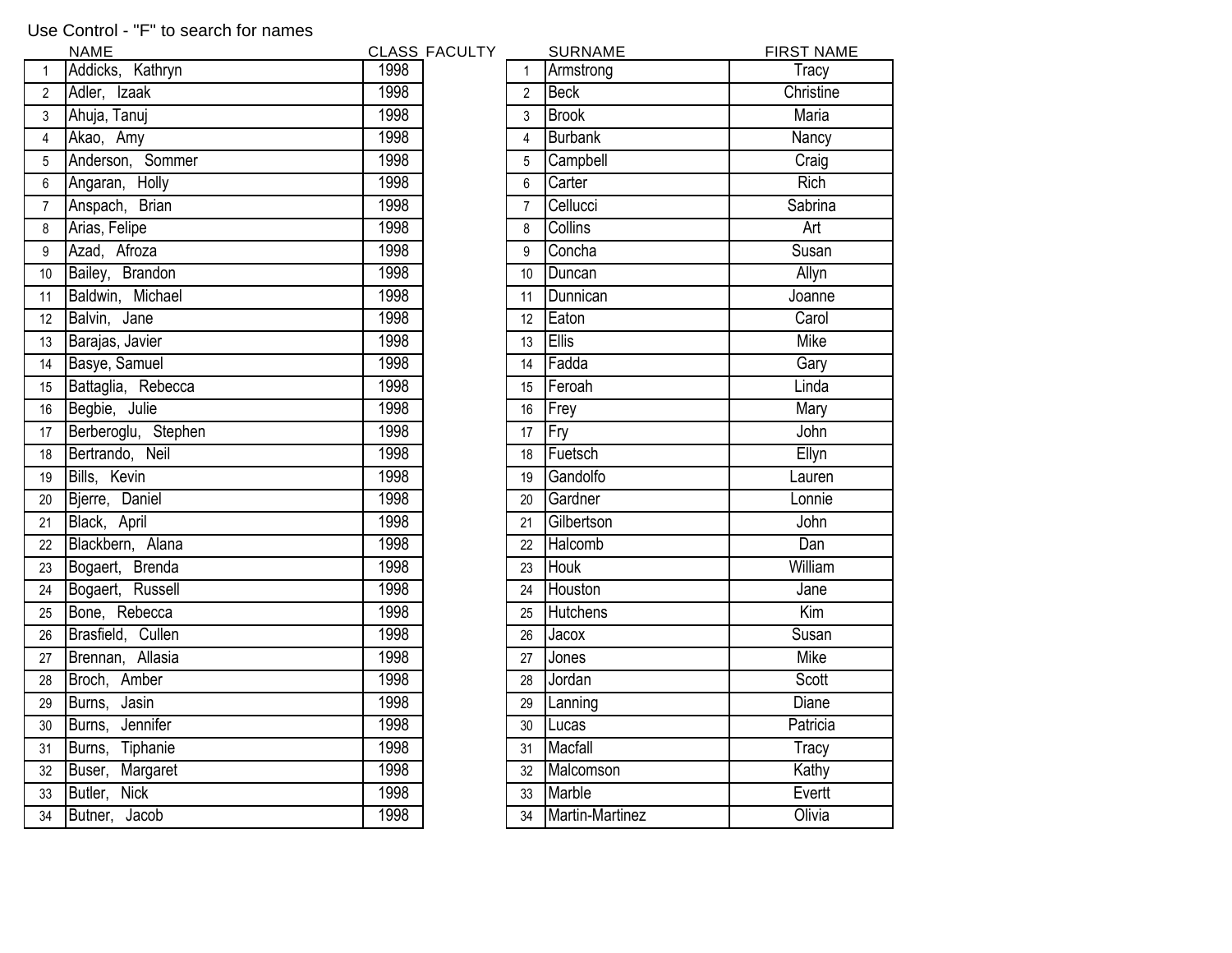## Use Control - "F" to search for names

|                  | <b>NAME</b>         |      | <b>CLASS FACULTY</b> |                 | <b>SURNAME</b>     | <b>FIRST NAME</b>   |
|------------------|---------------------|------|----------------------|-----------------|--------------------|---------------------|
|                  | Addicks, Kathryn    | 1998 |                      |                 | Armstrong          | Tracy               |
| $\overline{2}$   | Adler, Izaak        | 1998 |                      | $\overline{2}$  | Beck               | Christine           |
| 3                | Ahuja, Tanuj        | 1998 |                      | 3               | <b>Brook</b>       | <b>Maria</b>        |
| $\overline{4}$   | Akao, Amy           | 1998 |                      | 4               | Burbank            | <b>Nancy</b>        |
| 5                | Anderson, Sommer    | 1998 |                      | 5               | Campbell           | Craig               |
| 6                | Angaran, Holly      | 1998 |                      | 6               | Carter             | <b>Rich</b>         |
| $\overline{7}$   | Anspach, Brian      | 1998 |                      | $7^{\circ}$     | Cellucci           | Sabrina             |
| 8                | Arias, Felipe       | 1998 |                      | 8               | <b>Collins</b>     | Art                 |
| 9                | Azad, Afroza        | 1998 |                      | 9               | Concha             | Susan               |
| 10 <sup>°</sup>  | Bailey, Brandon     | 1998 |                      | 10 <sup>°</sup> | Duncan             | Allyn               |
| 11               | Baldwin, Michael    | 1998 |                      | 11              | Dunnican           | Joanne              |
| 12               | Balvin, Jane        | 1998 |                      | 12 <sup>°</sup> | Eaton              | Carol               |
| 13               | Barajas, Javier     | 1998 |                      | 13              | Ellis              | <b>Mike</b>         |
| 14               | Basye, Samuel       | 1998 |                      | 14              | Fadda              | Gary                |
| 15 <sup>15</sup> | Battaglia, Rebecca  | 1998 |                      | 15              | Feroah             | Linda               |
| 16               | Begbie, Julie       | 1998 |                      | 16              | Frey               | Mary                |
| 17               | Berberoglu, Stephen | 1998 |                      | 17              | Fry                | John                |
| 18               | Bertrando, Neil     | 1998 |                      | 18              | Fuetsch            | Ellyn               |
| 19               | Bills, Kevin        | 1998 |                      | 19              | Gandolfo           | Lauren              |
| 20               | Bjerre, Daniel      | 1998 |                      | 20              | Gardner            | Lonnie              |
| 21               | Black, April        | 1998 |                      | 21              | Gilbertson         | John                |
| 22               | Blackbern, Alana    | 1998 |                      | 22              | Halcomb            | Dan                 |
| 23               | Bogaert, Brenda     | 1998 |                      | 23              | <b>Houk</b>        | William             |
| 24               | Bogaert, Russell    | 1998 |                      | 24              | Houston            | Jane                |
| 25               | Bone, Rebecca       | 1998 |                      | 25              | <b>Hutchens</b>    | Kim                 |
| 26               | Brasfield, Cullen   | 1998 |                      | 26              | Jacox              | Susan               |
| 27               | Brennan, Allasia    | 1998 |                      | 27              | Jones              | <b>Mike</b>         |
| 28               | Broch, Amber        | 1998 |                      | 28              | Jordan             | Scott               |
| 29               | Burns, Jasin        | 1998 |                      | 29              | Lanning            | <b>Diane</b>        |
| 30               | Burns, Jennifer     | 1998 |                      | 30              | Lucas              | Patricia            |
| 31               | Burns, Tiphanie     | 1998 |                      | 31              | Macfall            | $\overline{T}$ racy |
| 32               | Buser, Margaret     | 1998 |                      | 32              | Malcomson          | Kathy               |
| 33               | Butler, Nick        | 1998 |                      | 33              | Marble             | Evertt              |
| 34               | Butner, Jacob       | 1998 |                      |                 | 34 Martin-Martinez | Olivia              |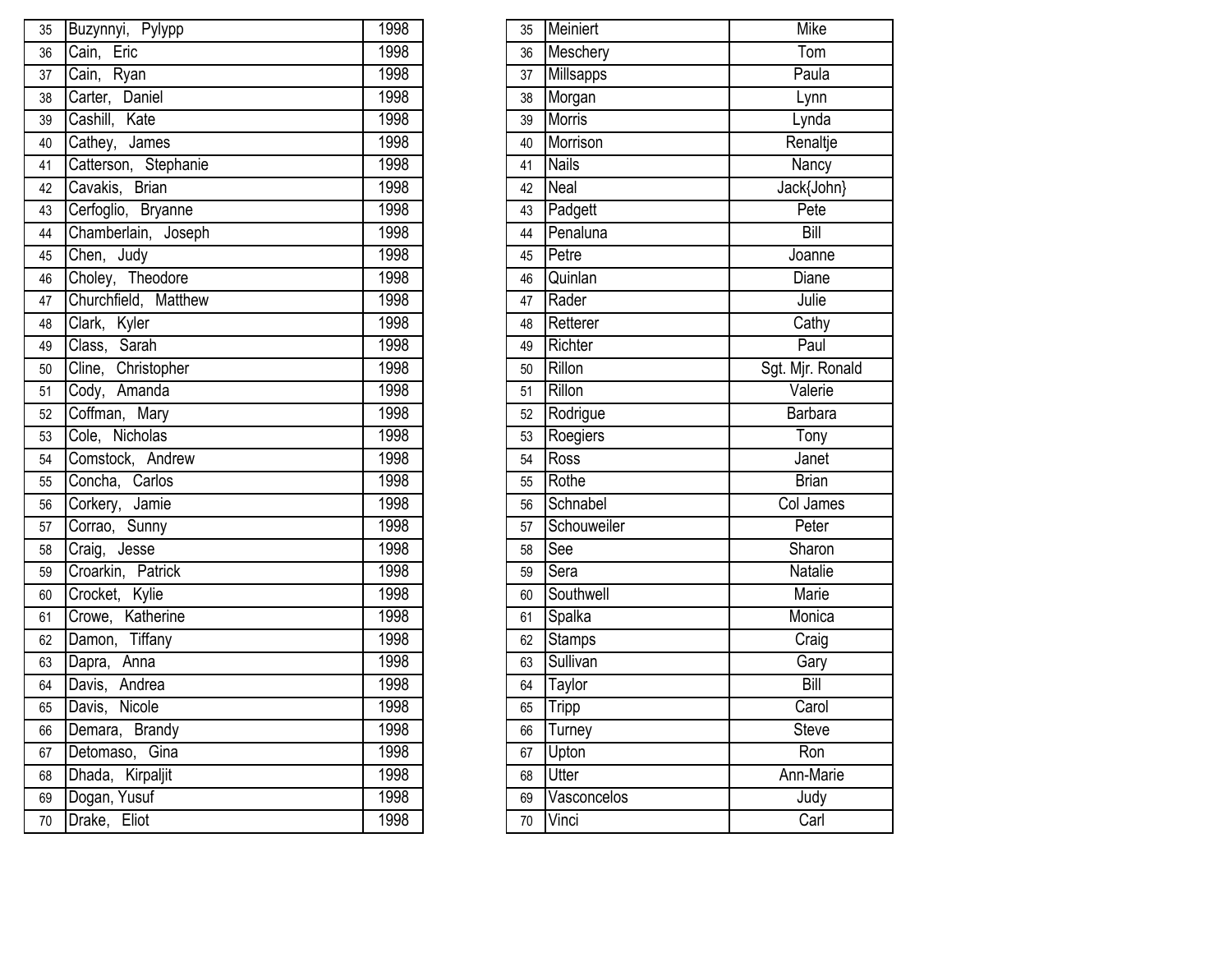| 35 | Buzynnyi, Pylypp                           | 1998 | 35 | Meiniert      | <b>Mike</b>         |
|----|--------------------------------------------|------|----|---------------|---------------------|
| 36 | Cain, Eric                                 | 1998 | 36 | Meschery      | Tom                 |
| 37 | Cain, Ryan                                 | 1998 | 37 | Millsapps     | Paula               |
| 38 | Carter, Daniel                             | 1998 | 38 | Morgan        | Lynn                |
| 39 | Cashill, Kate                              | 1998 | 39 | Morris        | Lynda               |
| 40 | Cathey, James                              | 1998 | 40 | Morrison      | Renaltje            |
| 41 | Catterson, Stephanie                       | 1998 | 41 | <b>Nails</b>  | <b>Nancy</b>        |
| 42 | Cavakis, Brian                             | 1998 | 42 | <b>Neal</b>   | Jack{John}          |
| 43 | Cerfoglio, Bryanne                         | 1998 | 43 | Padgett       | Pete                |
| 44 | Chamberlain, Joseph                        | 1998 | 44 | Penaluna      | Bill                |
| 45 | Chen, Judy                                 | 1998 | 45 | Petre         | Joanne              |
| 46 | Choley, Theodore                           | 1998 | 46 | Quinlan       | <b>Diane</b>        |
| 47 | Churchfield, Matthew                       | 1998 | 47 | Rader         | Julie               |
| 48 | Clark, Kyler                               | 1998 | 48 | Retterer      | $\overline{Cat}$    |
| 49 | Class, Sarah                               | 1998 | 49 | Richter       | Paul                |
| 50 | $\overline{\text{C}}$ line,<br>Christopher | 1998 | 50 | Rillon        | Sgt. Mjr. Ronald    |
| 51 | Cody, Amanda                               | 1998 | 51 | Rillon        | Valerie             |
| 52 | Coffman, Mary                              | 1998 | 52 | Rodrigue      | Barbara             |
| 53 | Cole, Nicholas                             | 1998 | 53 | Roegiers      | $\overline{T}$ ony  |
| 54 | Comstock, Andrew                           | 1998 | 54 | Ross          | Janet               |
| 55 | Concha, Carlos                             | 1998 | 55 | Rothe         | <b>Brian</b>        |
| 56 | Corkery, Jamie                             | 1998 | 56 | Schnabel      | <b>Col James</b>    |
| 57 | Corrao, Sunny                              | 1998 | 57 | Schouweiler   | Peter               |
| 58 | Craig, Jesse                               | 1998 | 58 | See           | Sharon              |
| 59 | Croarkin, Patrick                          | 1998 | 59 | Sera          | <b>Natalie</b>      |
| 60 | Crocket, Kylie                             | 1998 | 60 | Southwell     | Marie               |
| 61 | Crowe, Katherine                           | 1998 | 61 | Spalka        | Monica              |
| 62 | Damon, Tiffany                             | 1998 | 62 | <b>Stamps</b> | $\overline{C}$ raig |
| 63 | Dapra, Anna                                | 1998 | 63 | Sullivan      | Gary                |
| 64 | Davis, Andrea                              | 1998 | 64 | Taylor        | Bill                |
| 65 | Davis, Nicole                              | 1998 | 65 | <b>Tripp</b>  | Carol               |
| 66 | Demara, Brandy                             | 1998 | 66 | Turney        | Steve               |
| 67 | Detomaso, Gina                             | 1998 | 67 | Upton         | Ron                 |
| 68 | Dhada, Kirpaljit                           | 1998 | 68 | Utter         | Ann-Marie           |
| 69 | Dogan, Yusuf                               | 1998 | 69 | Vasconcelos   | Judy                |
| 70 | Drake, Eliot                               | 1998 | 70 | Vinci         | Carl                |

| 35 | Meiniert      | <b>Mike</b>      |
|----|---------------|------------------|
| 36 | Meschery      | Tom              |
| 37 | Millsapps     | Paula            |
| 38 | Morgan        | Lynn             |
| 39 | Morris        | Lynda            |
| 40 | Morrison      | Renaltje         |
| 41 | <b>Nails</b>  | Nancy            |
| 42 | Neal          | Jack{John}       |
| 43 | Padgett       | Pete             |
| 44 | Penaluna      | Bill             |
| 45 | Petre         | Joanne           |
| 46 | Quinlan       | <b>Diane</b>     |
| 47 | Rader         | Julie            |
| 48 | Retterer      | Cathy            |
| 49 | Richter       | Paul             |
| 50 | Rillon        | Sgt. Mjr. Ronald |
| 51 | Rillon        | Valerie          |
| 52 | Rodrigue      | Barbara          |
| 53 | Roegiers      | Tony             |
| 54 | Ross          | Janet            |
| 55 | Rothe         | <b>Brian</b>     |
| 56 | Schnabel      | <b>Col James</b> |
| 57 | Schouweiler   | Peter            |
| 58 | See           | Sharon           |
| 59 | Sera          | Natalie          |
| 60 | Southwell     | Marie            |
| 61 | Spalka        | Monica           |
| 62 | <b>Stamps</b> | Craig            |
| 63 | Sullivan      | Gary             |
| 64 | <b>Taylor</b> | Bill             |
| 65 | <b>Tripp</b>  | Carol            |
| 66 | <b>Turney</b> | <b>Steve</b>     |
| 67 | Upton         | Ron              |
| 68 | Utter         | Ann-Marie        |
| 69 | Vasconcelos   | Judy             |
| 70 | Vinci         | Carl             |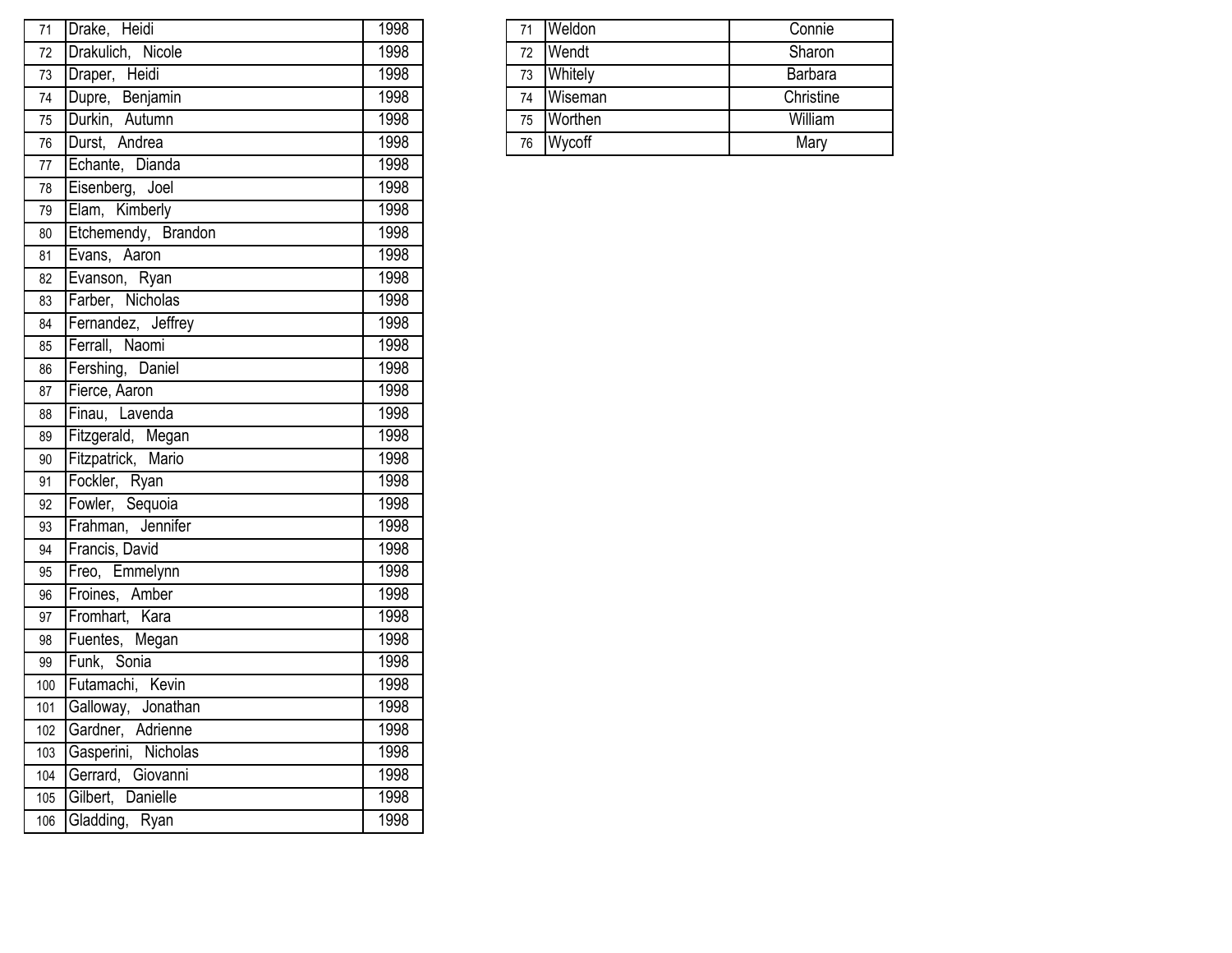| 71  | Drake, Heidi          | 1998 | 71 | Weldon  | Connie    |
|-----|-----------------------|------|----|---------|-----------|
| 72  | Drakulich, Nicole     | 1998 | 72 | Wendt   | Sharon    |
| 73  | Draper, Heidi         | 1998 | 73 | Whitely | Barbara   |
| 74  | Dupre, Benjamin       | 1998 | 74 | Wiseman | Christine |
| 75  | Durkin, Autumn        | 1998 | 75 | Worthen | William   |
| 76  | Durst, Andrea         | 1998 | 76 | Wycoff  | Mary      |
| 77  | Echante, Dianda       | 1998 |    |         |           |
| 78  | Eisenberg, Joel       | 1998 |    |         |           |
| 79  | Elam, Kimberly        | 1998 |    |         |           |
| 80  | Etchemendy, Brandon   | 1998 |    |         |           |
| 81  | Evans, Aaron          | 1998 |    |         |           |
| 82  | Evanson, Ryan         | 1998 |    |         |           |
| 83  | Farber, Nicholas      | 1998 |    |         |           |
| 84  | Fernandez, Jeffrey    | 1998 |    |         |           |
| 85  | Ferrall, Naomi        | 1998 |    |         |           |
| 86  | Fershing, Daniel      | 1998 |    |         |           |
| 87  | Fierce, Aaron         | 1998 |    |         |           |
| 88  | Finau, Lavenda        | 1998 |    |         |           |
| 89  | Fitzgerald, Megan     | 1998 |    |         |           |
| 90  | Fitzpatrick, Mario    | 1998 |    |         |           |
| 91  | Fockler, Ryan         | 1998 |    |         |           |
| 92  | Fowler, Sequoia       | 1998 |    |         |           |
| 93  | Frahman, Jennifer     | 1998 |    |         |           |
| 94  | Francis, David        | 1998 |    |         |           |
| 95  | Freo, Emmelynn        | 1998 |    |         |           |
| 96  | Froines, Amber        | 1998 |    |         |           |
| 97  | Fromhart, Kara        | 1998 |    |         |           |
| 98  | Fuentes, Megan        | 1998 |    |         |           |
| 99  | Funk, Sonia           | 1998 |    |         |           |
| 100 | Futamachi, Kevin      | 1998 |    |         |           |
| 101 | Galloway, Jonathan    | 1998 |    |         |           |
| 102 | Gardner, Adrienne     | 1998 |    |         |           |
| 103 | Gasperini, Nicholas   | 1998 |    |         |           |
| 104 | Gerrard, Giovanni     | 1998 |    |         |           |
|     | 105 Gilbert, Danielle | 1998 |    |         |           |
|     | 106 Gladding, Ryan    | 1998 |    |         |           |

| 71 | <b>Weldon</b>  | Connie         |
|----|----------------|----------------|
| 72 | <b>Wendt</b>   | Sharon         |
| 73 | <b>Whitely</b> | <b>Barbara</b> |
| 74 | Wiseman        | Christine      |
| 75 | Worthen        | William        |
| 76 | Wycoff         | Mary           |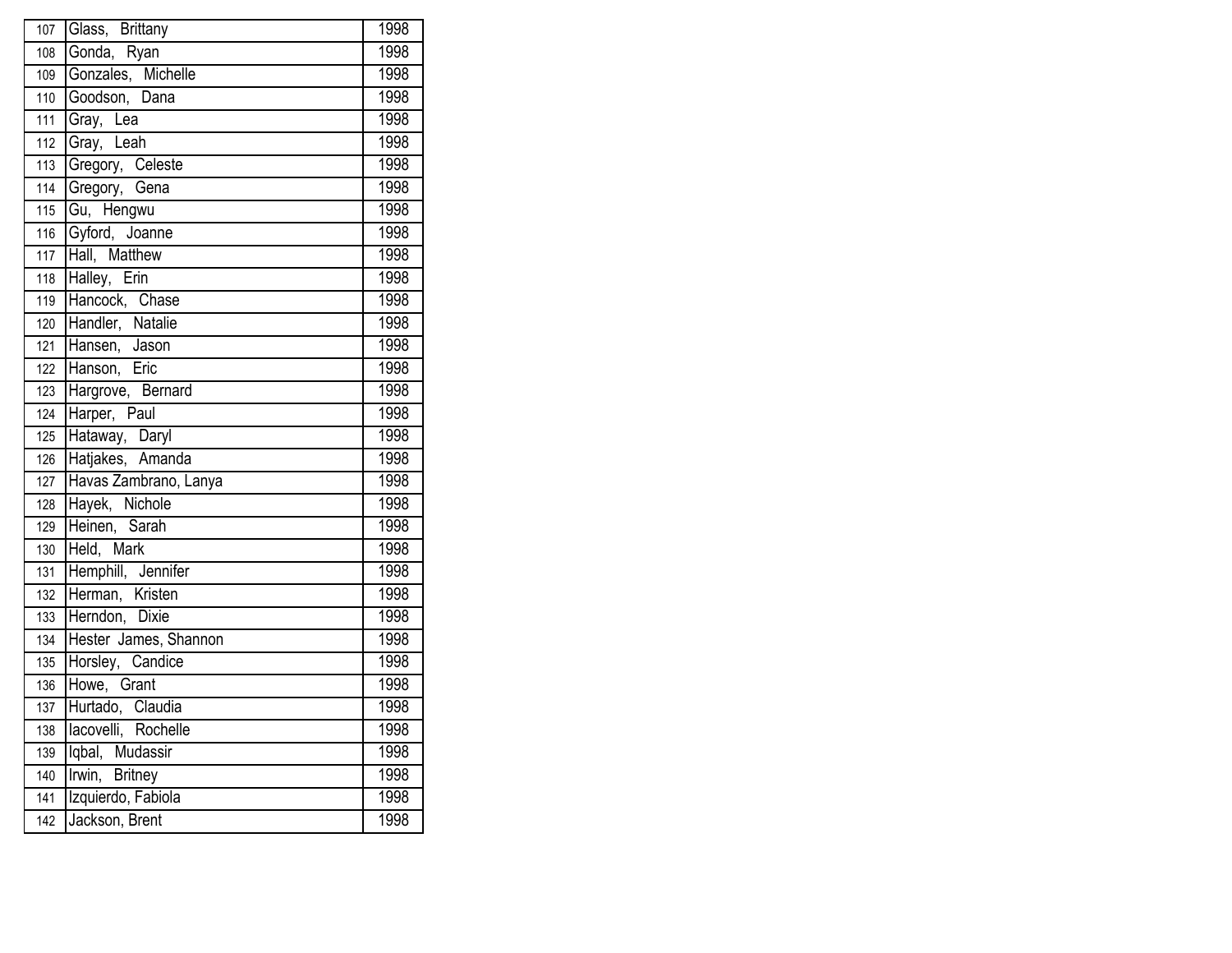| 107               | Glass, Brittany                    | 1998 |
|-------------------|------------------------------------|------|
| 108               | Gonda, Ryan                        | 1998 |
| 109               | Gonzales, Michelle                 | 1998 |
| 110               | Goodson, Dana                      | 1998 |
| 111               | Gray, Lea                          | 1998 |
| 112               | Gray, Leah                         | 1998 |
| 113               | Gregory, Celeste                   | 1998 |
| 114               | Gregory, Gena                      | 1998 |
| $\frac{115}{115}$ | Gu, Hengwu                         | 1998 |
| 116               | Gyford, Joanne                     | 1998 |
| 117               | Hall, Matthew                      | 1998 |
| 118               | Halley, Erin                       | 1998 |
| 119               | Hancock, Chase                     | 1998 |
| 120               | Handler, Natalie<br>Hansen, Jason  | 1998 |
| 121               |                                    | 1998 |
| 122               | Hanson, Eric                       | 1998 |
| 123               | Hargrove, Bernard                  | 1998 |
| 124               | Harper,<br>Paul                    | 1998 |
| 125               | Hataway, Daryl                     | 1998 |
| $\overline{126}$  | Hatjakes, Amanda                   | 1998 |
| $\overline{127}$  | Havas Zambrano, Lanya              | 1998 |
| 128               | Hayek, Nichole                     | 1998 |
| 129               | Heinen, Sarah                      | 1998 |
| 130               | Held, Mark                         | 1998 |
| 131               | Hemphill, Jennifer                 | 1998 |
| 132               | Herman, Kristen<br>Herman, Kristen | 1998 |
| 133               |                                    | 1998 |
| 134               | Hester James, Shannon              | 1998 |
| 135               | Horsley, Candice                   | 1998 |
| 136               | Howe, Grant                        | 1998 |
| 137               | Hurtado, Claudia                   | 1998 |
| 138               | lacovelli, Rochelle                | 1998 |
| 139               | Iqbal, Mudassir                    | 1998 |
| $\overline{140}$  | Irwin, Britney                     | 1998 |
| 141               | Izquierdo, Fabiola                 | 1998 |
| $\frac{1}{142}$   | Jackson, Brent                     | 1998 |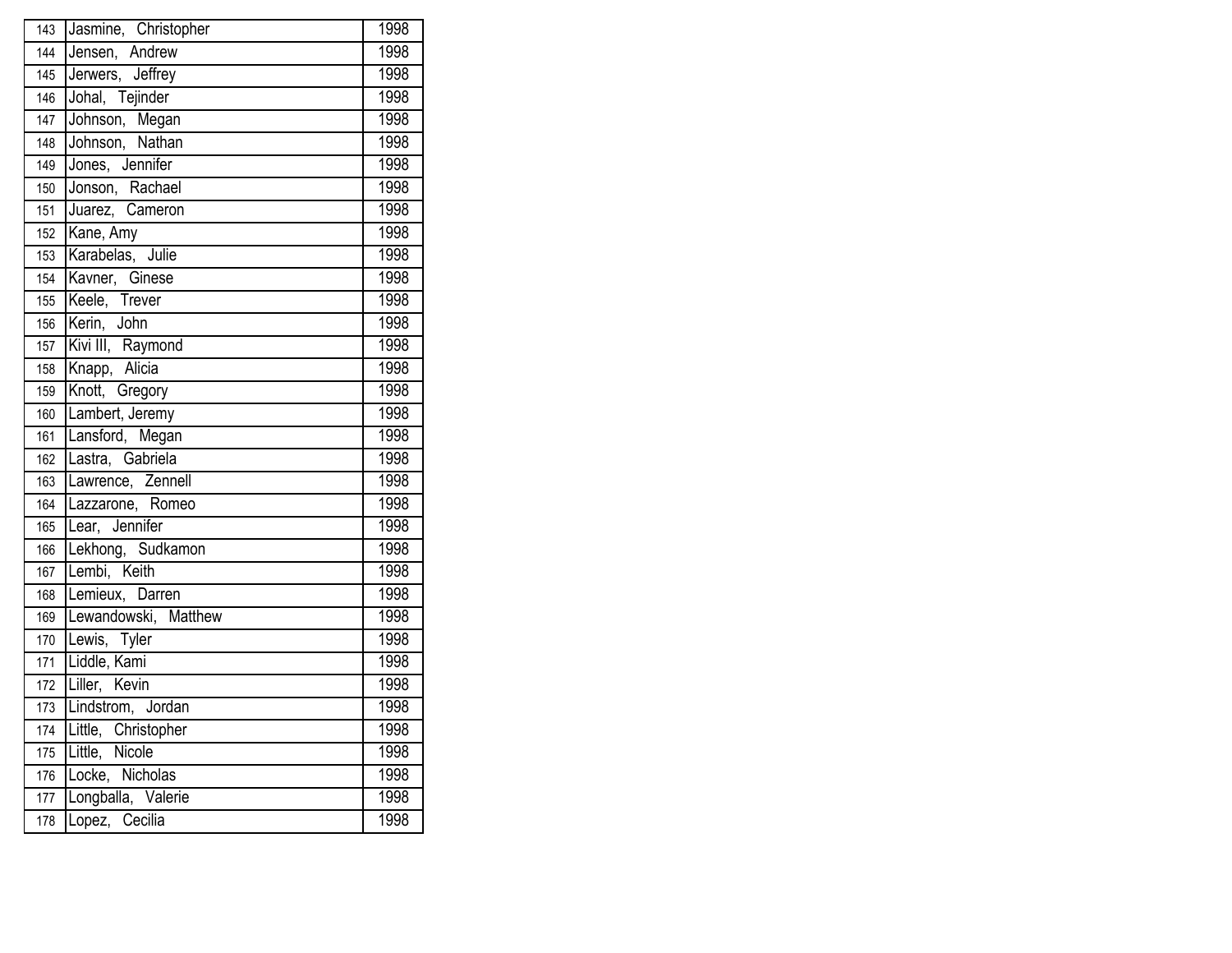| 143              | Jasmine, Christopher         | 1998 |
|------------------|------------------------------|------|
| 144              | Jensen, Andrew               | 1998 |
| 145              | Jerwers, Jeffrey             | 1998 |
| 146              | Johal, Tejinder              | 1998 |
| 147              | Johnson, Megan               | 1998 |
| 148              | Johnson, Nathan              | 1998 |
| 149              | Jones, Jennifer              | 1998 |
| 150              | Jonson, Rachael              | 1998 |
| 151              | Juarez, Cameron              | 1998 |
| 152              | Kane, Amy                    | 1998 |
| 153              | Karabelas, Julie             | 1998 |
| 154              | Kavner, Ginese               | 1998 |
| 155              | Keele, Trever<br>Kerin, John | 1998 |
| 156              |                              | 1998 |
| 157              | Kivi III, Raymond            | 1998 |
| 158              | Knapp, Alicia                | 1998 |
| 159              | Knott, Gregory               | 1998 |
| 160              | Lambert, Jeremy              | 1998 |
| 161              | Lansford, Megan              | 1998 |
| 162              | Lastra, Gabriela             | 1998 |
| 163              | Lawrence, Zennell            | 1998 |
| 164              | Lazzarone, Romeo             | 1998 |
| 165              | Lear, Jennifer               | 1998 |
| 166              | Lekhong, Sudkamon            | 1998 |
| 167              | Lembi, Keith                 | 1998 |
| 168              | Lemieux, Darren              | 1998 |
| 169              | Lewandowski, Matthew         | 1998 |
| 170              | Lewis, Tyler                 | 1998 |
| 171              | Liddle, Kami                 | 1998 |
| 172              | Liller, Kevin                | 1998 |
| 173              | Lindstrom, Jordan            | 1998 |
| 174              | Little, Christopher          | 1998 |
| $\overline{175}$ | Little, Nicole               | 1998 |
| 176              | Locke, Nicholas              | 1998 |
| 177              | Longballa, Valerie           | 1998 |
| 178              | Lopez, Cecilia               | 1998 |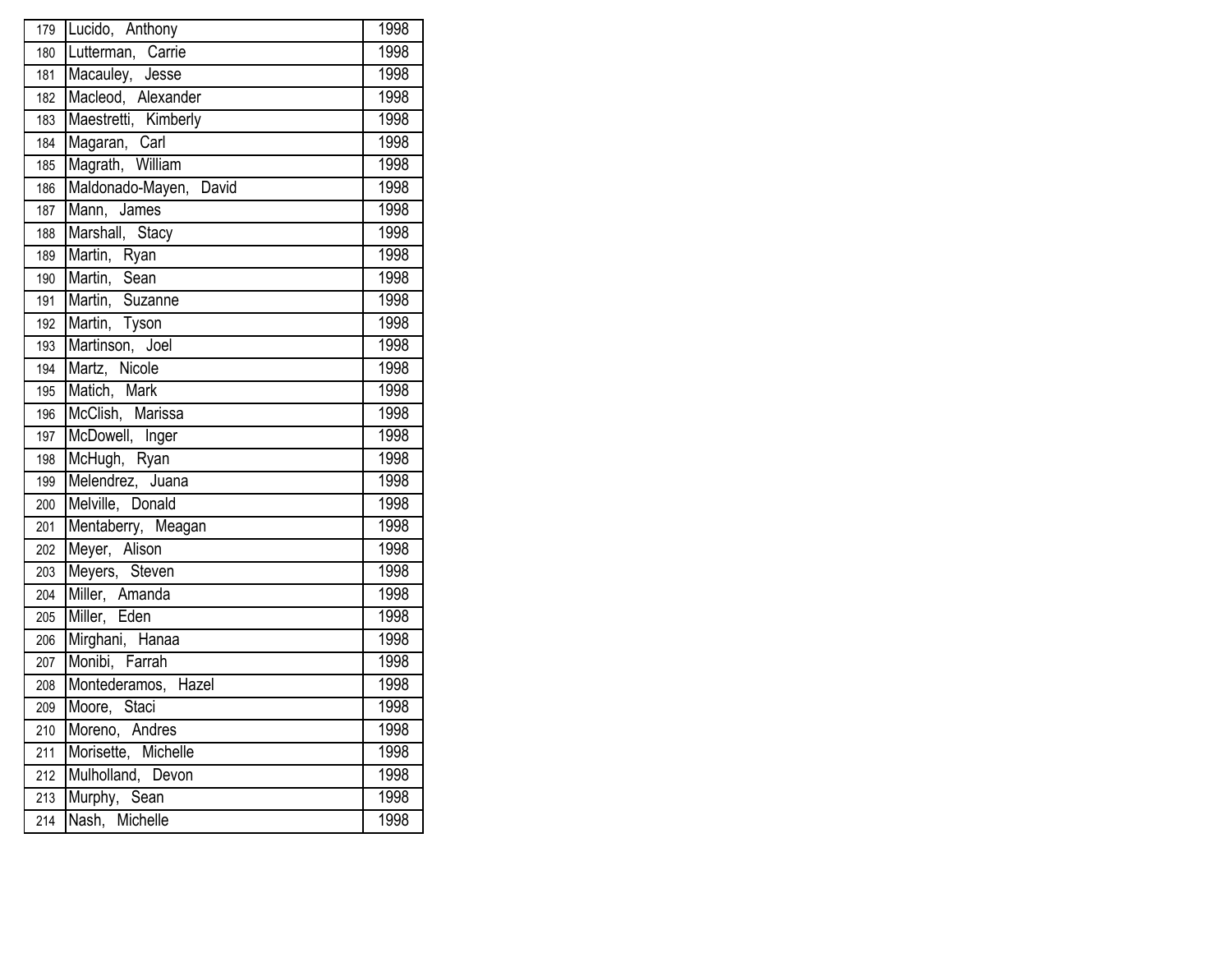| 179              | Lucido, Anthony                                            | 1998 |
|------------------|------------------------------------------------------------|------|
| 180              | Lutterman, Carrie<br>Macauley, Jesse<br>Macleod, Alexander | 1998 |
| 181              |                                                            | 1998 |
| 182              |                                                            | 1998 |
| 183              | Maestretti, Kimberly                                       | 1998 |
| 184              | Magaran, Carl                                              | 1998 |
| 185              | Magrath, William                                           | 1998 |
| 186              | Maldonado-Mayen, David                                     | 1998 |
| 187              | Mann, James                                                | 1998 |
| 188              | Marshall, Stacy                                            | 1998 |
| 189              | Martin, Ryan                                               | 1998 |
| 190              | Martin, Sean                                               | 1998 |
| 191              | Martin, Suzanne                                            | 1998 |
| 192              | Martin, Tyson                                              | 1998 |
| 193              | Martinson, Joel                                            | 1998 |
| 194              | Martz, Nicole                                              | 1998 |
| 195              | Matich, Mark                                               | 1998 |
| 196              | McClish, Marissa                                           | 1998 |
| 197              | McDowell, Inger                                            | 1998 |
| 198              | McHugh, Ryan                                               | 1998 |
| 199              | Melendrez, Juana                                           | 1998 |
| 200              | Melville, Donald                                           | 1998 |
| 201              | Mentaberry, Meagan                                         | 1998 |
| 202              | Meyer, Alison                                              | 1998 |
| 203              | Meyers, Steven                                             | 1998 |
| 204              | Miller, Amanda<br>Miller, Eden                             | 1998 |
| 205              |                                                            | 1998 |
| 206              | Mirghani, Hanaa                                            | 1998 |
| 207              | Monibi, Farrah                                             | 1998 |
| 208              | Montederamos, Hazel                                        | 1998 |
| 209              | Moore, Staci                                               | 1998 |
| 210              | Moreno, Andres                                             | 1998 |
| 211              | Morisette, Michelle                                        | 1998 |
| $\overline{212}$ | Mulholland, Devon                                          | 1998 |
| 213              | Murphy, Sean                                               | 1998 |
| 214              | Nash, Michelle                                             | 1998 |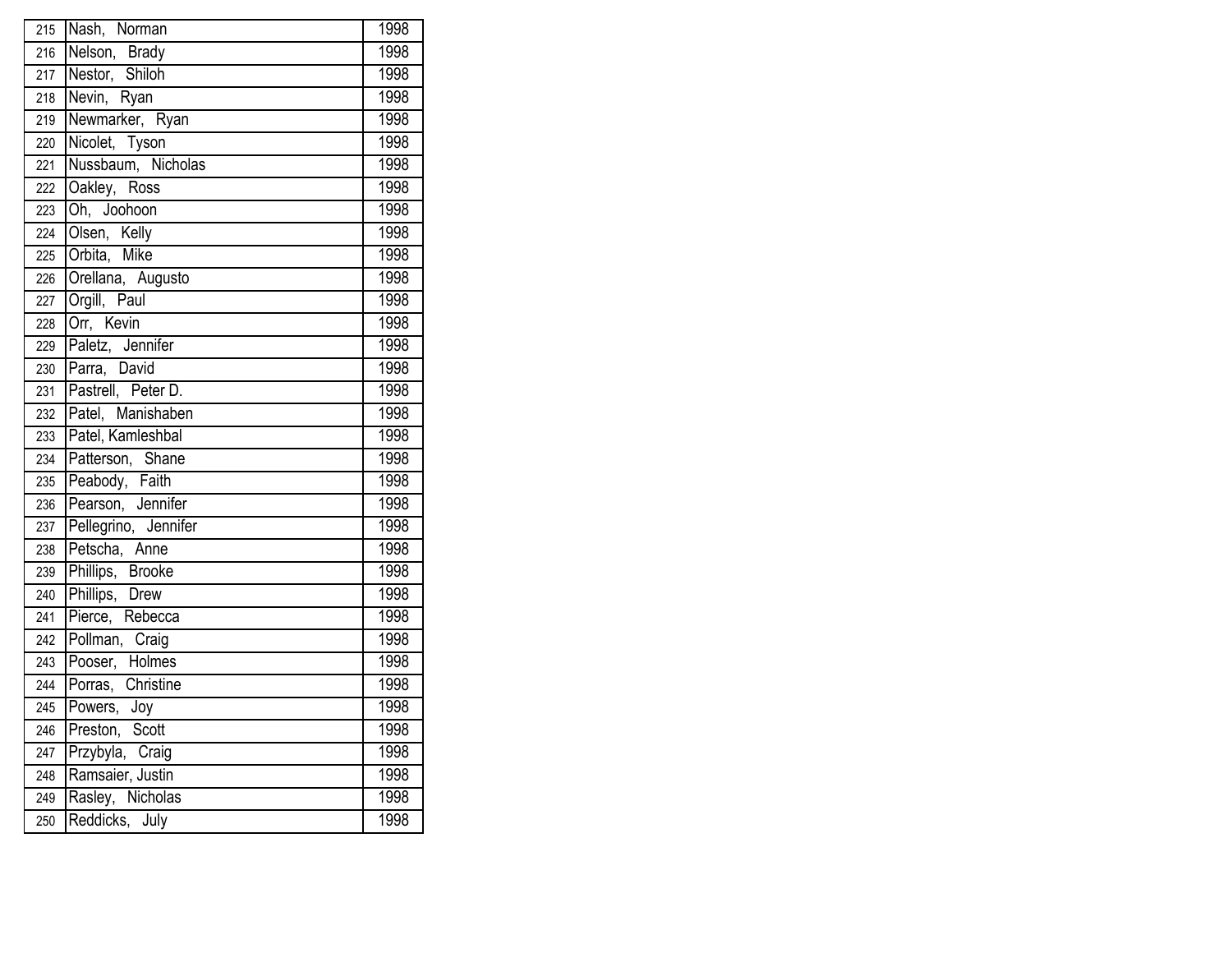| 215              | Nash, Norman                                          | 1998 |
|------------------|-------------------------------------------------------|------|
| 216              | Nelson, Brady<br>Nestor, Shiloh<br>Nevin, Ryan        | 1998 |
| 217              |                                                       | 1998 |
| 218              |                                                       | 1998 |
| 219              | Newmarker, Ryan                                       | 1998 |
| 220              | Nicolet, Tyson                                        | 1998 |
| 221              | Nussbaum, Nicholas                                    | 1998 |
| $\overline{222}$ | Oakley, Ross                                          | 1998 |
| 223              | Oh, Joohoon                                           | 1998 |
| 224              | Olsen, Kelly                                          | 1998 |
| 225              | Orbita, Mike                                          | 1998 |
| 226              | Orellana, Augusto                                     | 1998 |
| 227              | Orgill, Paul                                          | 1998 |
| 228              | Orr, Kevin                                            | 1998 |
| 229              | Paletz, Jennifer                                      | 1998 |
| 230              | Parra, David                                          | 1998 |
| 231              | Pastrell, Peter D.                                    | 1998 |
| 232              | Patel, Manishaben                                     | 1998 |
| 233              | Patel, Kamleshbal                                     | 1998 |
| 234              | Patterson, Shane                                      | 1998 |
| 235              | Peabody, Faith                                        | 1998 |
| 236              | Pearson, Jennifer                                     | 1998 |
| 237              | Pellegrino, Jennifer                                  | 1998 |
| 238              | Petscha, Anne                                         | 1998 |
| 239              | Phillips, Brooke<br>Phillips, Drew<br>Pierce, Rebecca | 1998 |
| 240              |                                                       | 1998 |
| 241              |                                                       | 1998 |
| 242              | Pollman, Craig                                        | 1998 |
| 243              | Pooser, Holmes                                        | 1998 |
| 244              | Porras, Christine                                     | 1998 |
| $\overline{245}$ | Powers, Joy                                           | 1998 |
| 246              | Preston, Scott                                        | 1998 |
| 247              | Przybyla, Craig                                       | 1998 |
| 248              | Ramsaier, Justin                                      | 1998 |
| 249              | Rasley, Nicholas                                      | 1998 |
| 250              | Reddicks, July                                        | 1998 |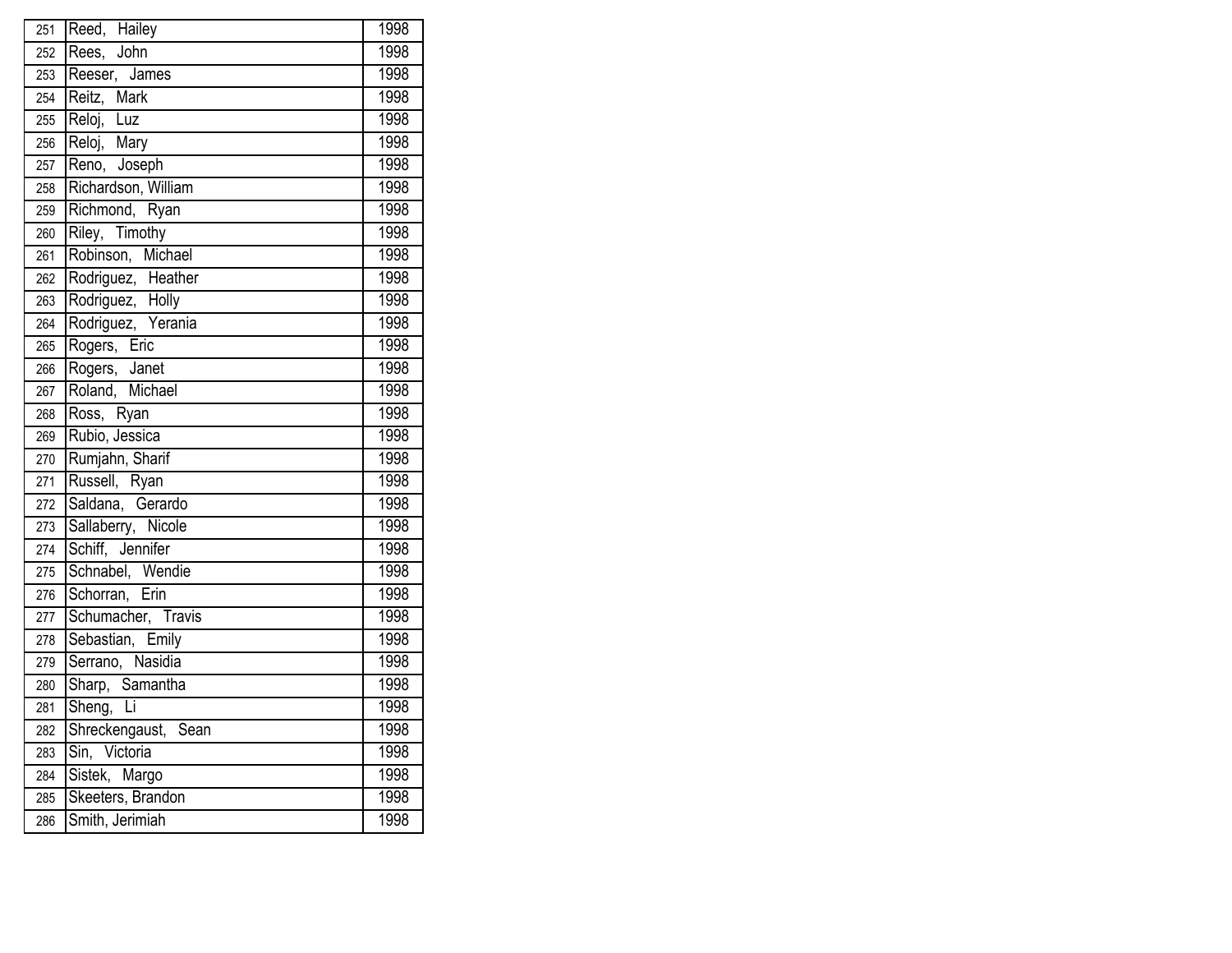| 251              | Reed, Hailey                           | 1998 |
|------------------|----------------------------------------|------|
| 252              | Rees, John                             | 1998 |
| 253              | Reeser, James                          | 1998 |
| 254              | Reitz, Mark                            | 1998 |
| 255              | Reloj, Luz                             | 1998 |
| 256              | Reloj, Mary                            | 1998 |
| 257              | Reno, Joseph                           | 1998 |
| 258              | Richardson, William                    | 1998 |
| 259              | Richmond, Ryan                         | 1998 |
| 260              | Riley, Timothy                         | 1998 |
| 261              | Robinson, Michael                      | 1998 |
| 262              | Rodriguez, Heather                     | 1998 |
| 263              | Rodriguez, Holly<br>Rodriguez, Yerania | 1998 |
| 264              |                                        | 1998 |
| 265              | Rogers, Eric                           | 1998 |
| 266              | Rogers, Janet                          | 1998 |
| 267              | Roland, Michael                        | 1998 |
| 268              | Ross, Ryan                             | 1998 |
| 269              | Rubio, Jessica                         | 1998 |
| 270              | Rumjahn, Sharif                        | 1998 |
| 271              | Russell, Ryan                          | 1998 |
| 272              | Saldana, Gerardo                       | 1998 |
| 273              | Sallaberry, Nicole                     | 1998 |
| $\overline{274}$ | Schiff, Jennifer                       | 1998 |
| 275              | Schnabel, Wendie                       | 1998 |
| 276              | Schorran, Erin                         | 1998 |
| 277              | Schumacher, Travis                     | 1998 |
| 278              | Sebastian, Emily                       | 1998 |
| 279              | Serrano, Nasidia                       | 1998 |
| 280              | Sharp, Samantha                        | 1998 |
| 281              | Sheng, Li                              | 1998 |
| 282              | Shreckengaust, Sean                    | 1998 |
| 283              | Sin, Victoria                          | 1998 |
| 284              | Sistek, Margo                          | 1998 |
| 285              | Skeeters, Brandon                      | 1998 |
| 286              | Smith, Jerimiah                        | 1998 |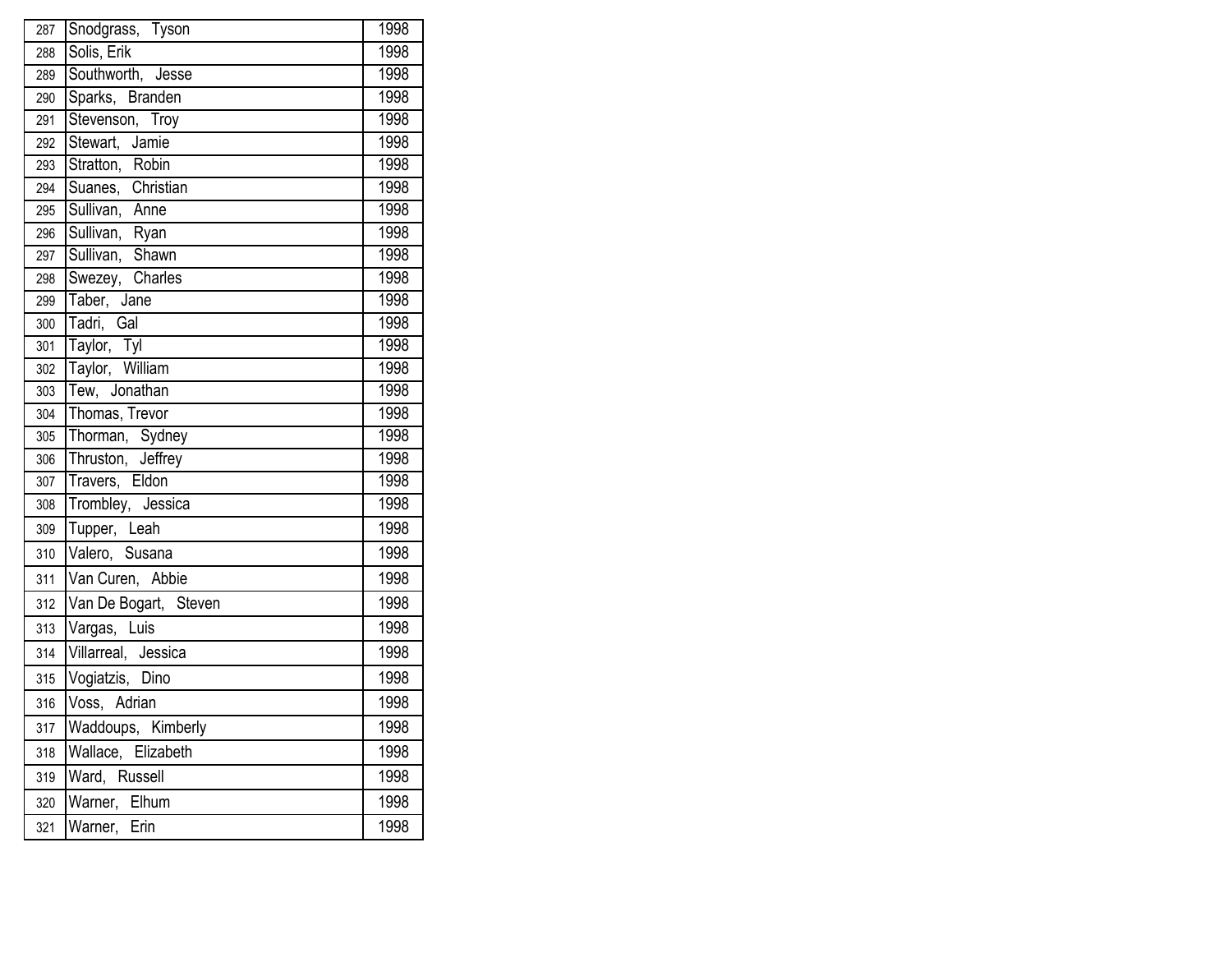| 287 | Snodgrass, Tyson                  | 1998 |
|-----|-----------------------------------|------|
| 288 | Solis, Erik                       | 1998 |
| 289 | Southworth, Jesse                 | 1998 |
| 290 | Sparks, Branden                   | 1998 |
| 291 | Stevenson, Troy                   | 1998 |
| 292 | Stewart, Jamie                    | 1998 |
| 293 | Stratton, Robin                   | 1998 |
| 294 | Suanes, Christian                 | 1998 |
| 295 | Sullivan, Anne                    | 1998 |
| 296 | Sullivan, Ryan<br>Sullivan, Shawn | 1998 |
| 297 |                                   | 1998 |
| 298 | Swezey, Charles                   | 1998 |
| 299 | Taber, Jane                       | 1998 |
| 300 | Tadri, Gal                        | 1998 |
| 301 | Taylor, Tyl                       | 1998 |
| 302 | Taylor, William                   | 1998 |
| 303 | Tew, Jonathan                     | 1998 |
| 304 | Thomas, Trevor                    | 1998 |
| 305 | Thorman, Sydney                   | 1998 |
| 306 | Thruston, Jeffrey                 | 1998 |
| 307 | Travers, Eldon                    | 1998 |
| 308 | Trombley, Jessica                 | 1998 |
| 309 | Tupper, Leah                      | 1998 |
| 310 | Valero, Susana                    | 1998 |
| 311 | Van Curen, Abbie                  | 1998 |
| 312 | Van De Bogart, Steven             | 1998 |
| 313 | Vargas, Luis                      | 1998 |
| 314 | Villarreal, Jessica               | 1998 |
| 315 | Vogiatzis, Dino                   | 1998 |
| 316 | Voss, Adrian                      | 1998 |
| 317 | Waddoups, Kimberly                | 1998 |
| 318 | Wallace, Elizabeth                | 1998 |
| 319 | Ward, Russell                     | 1998 |
| 320 | Warner,<br>Elhum                  | 1998 |
| 321 | Warner,<br>Erin                   | 1998 |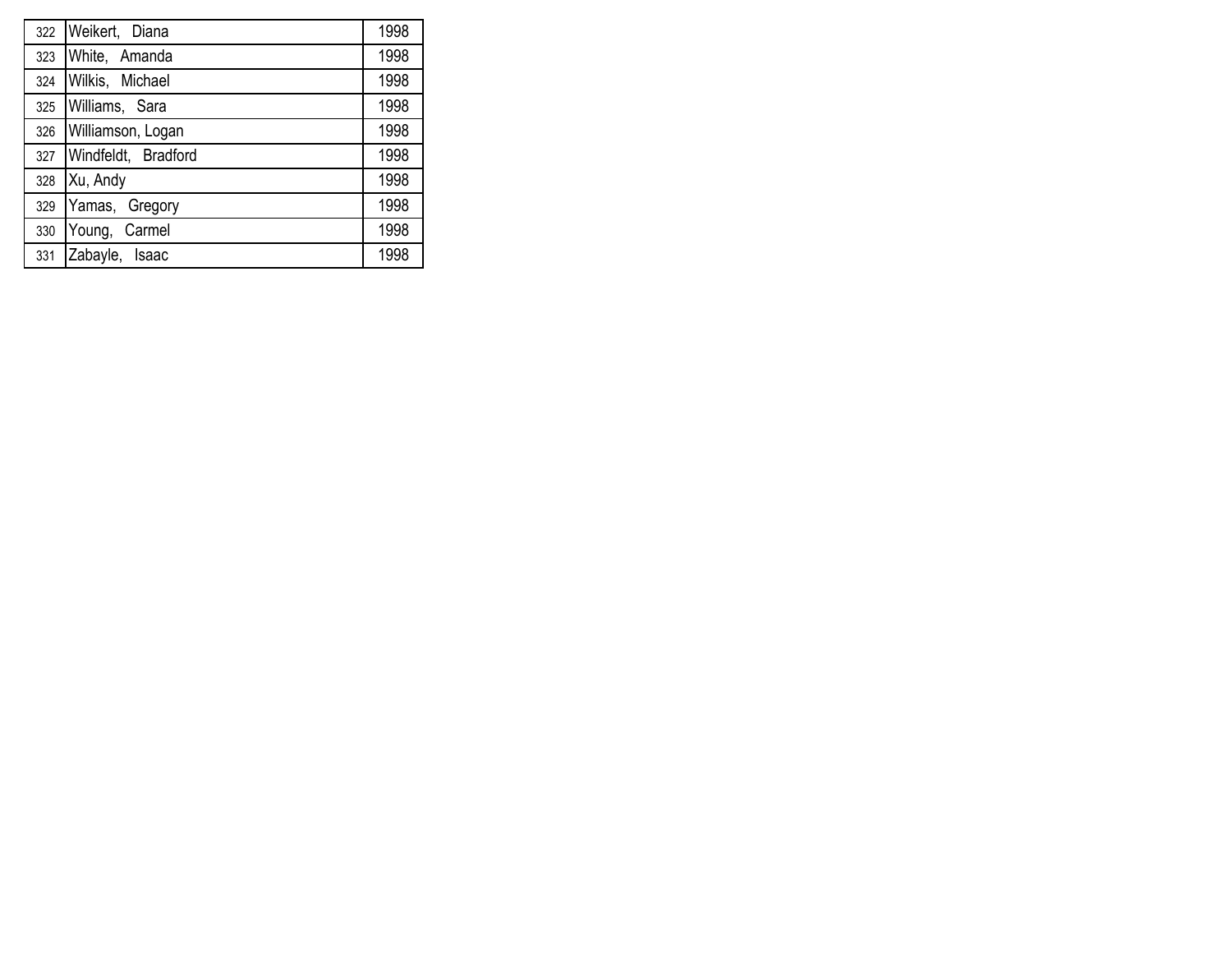| 322 | Weikert, Diana      | 1998 |
|-----|---------------------|------|
| 323 | White, Amanda       | 1998 |
| 324 | Wilkis, Michael     | 1998 |
| 325 | Williams, Sara      | 1998 |
| 326 | Williamson, Logan   | 1998 |
| 327 | Windfeldt, Bradford | 1998 |
| 328 | Xu, Andy            | 1998 |
| 329 | Yamas, Gregory      | 1998 |
| 330 | Young, Carmel       | 1998 |
| 331 | Zabayle, Isaac      | 1998 |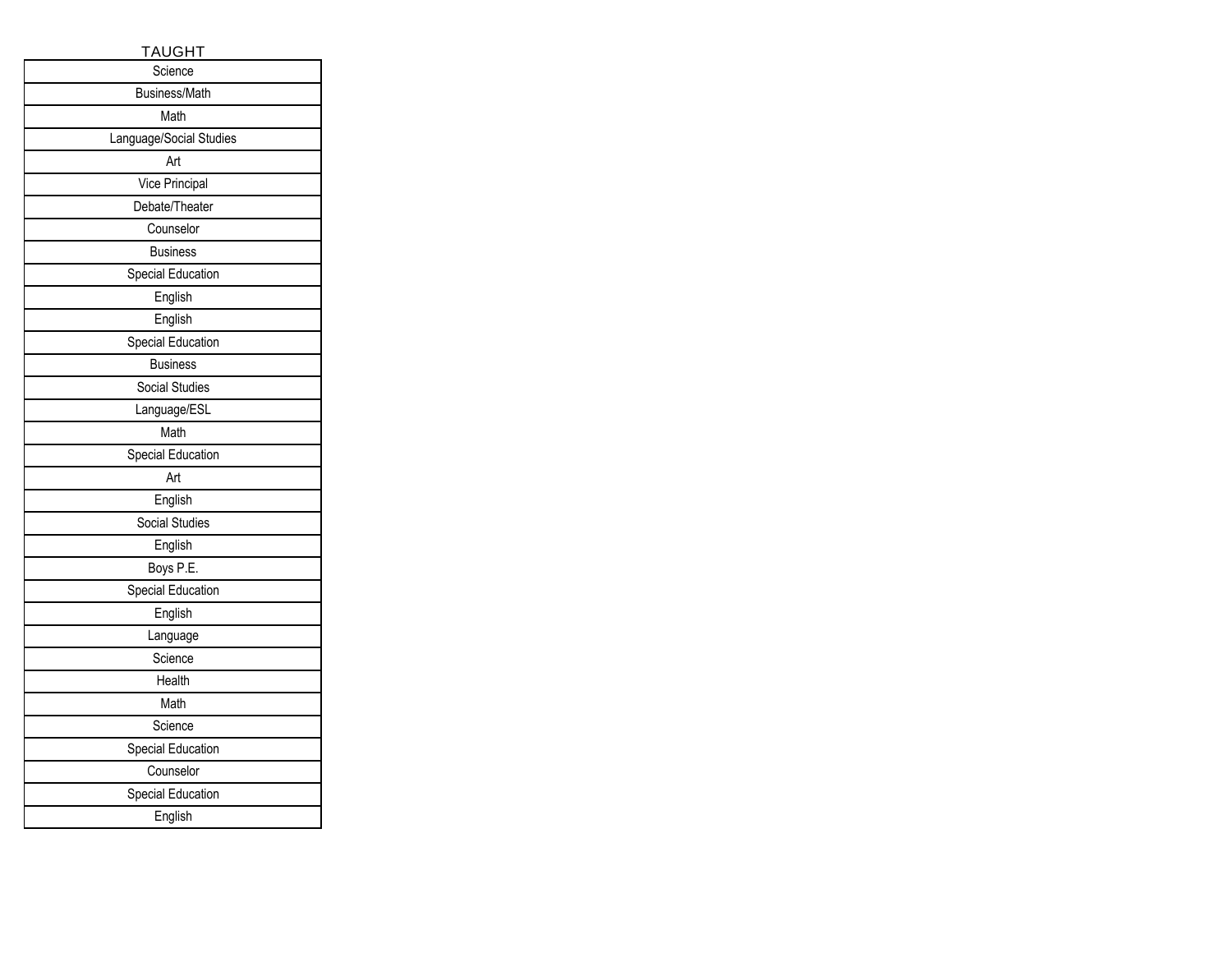| <b>TAUGHT</b>            |  |
|--------------------------|--|
| Science                  |  |
| Business/Math            |  |
| Math                     |  |
| Language/Social Studies  |  |
| Art                      |  |
| Vice Principal           |  |
| Debate/Theater           |  |
| Counselor                |  |
| <b>Business</b>          |  |
| Special Education        |  |
| English                  |  |
| English                  |  |
| Special Education        |  |
| <b>Business</b>          |  |
| <b>Social Studies</b>    |  |
| Language/ESL             |  |
| Math                     |  |
| Special Education        |  |
| Art                      |  |
| English                  |  |
| <b>Social Studies</b>    |  |
| English                  |  |
| Boys P.E.                |  |
| <b>Special Education</b> |  |
| English                  |  |
| Language                 |  |
| Science                  |  |
| Health                   |  |
| Math                     |  |
| Science                  |  |
| Special Education        |  |
| Counselor                |  |
| Special Education        |  |
| English                  |  |
|                          |  |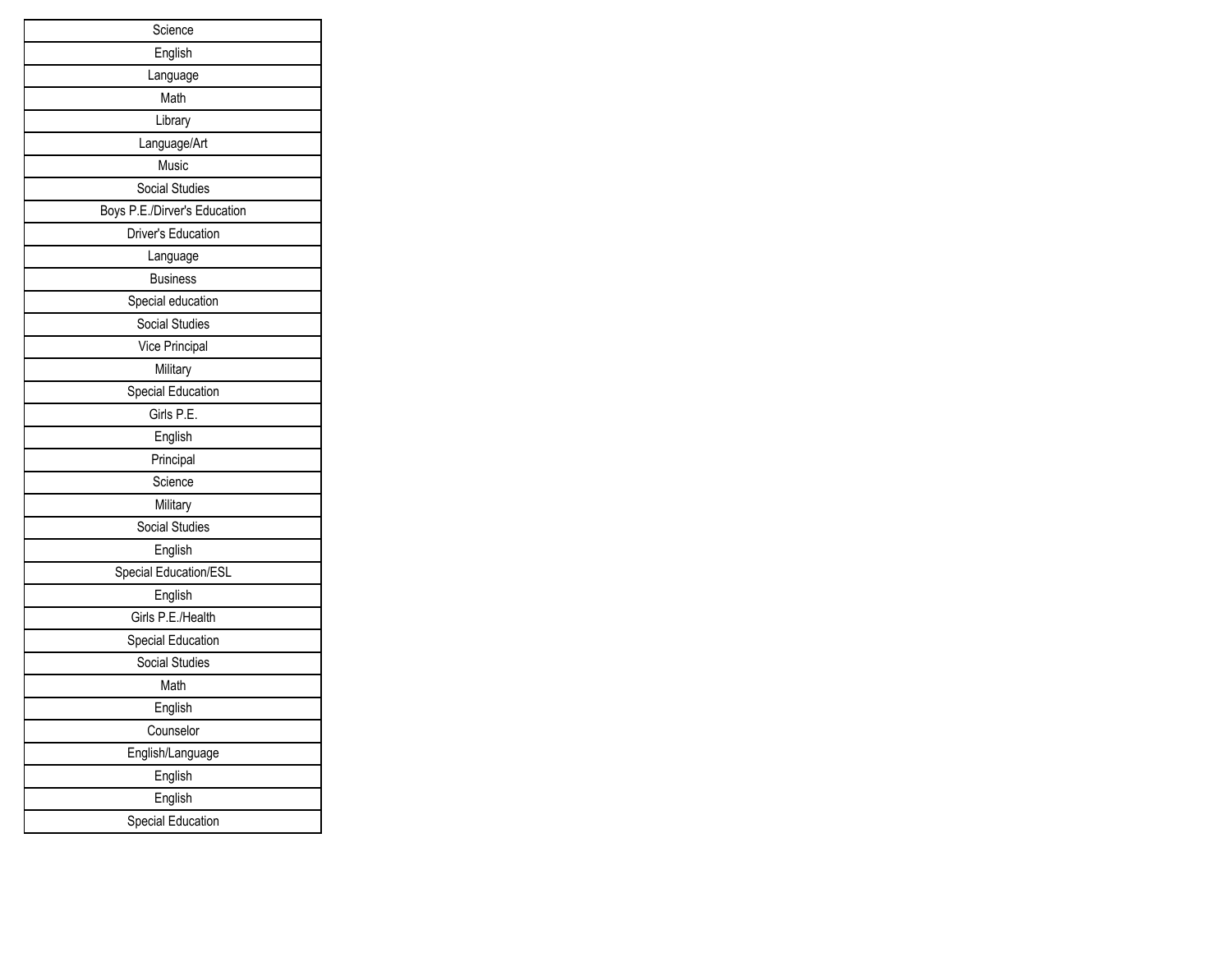| Science                      |
|------------------------------|
| English                      |
| Language                     |
| Math                         |
| Library                      |
| Language/Art                 |
| Music                        |
| Social Studies               |
| Boys P.E./Dirver's Education |
| Driver's Education           |
| Language                     |
| <b>Business</b>              |
| Special education            |
| Social Studies               |
| Vice Principal               |
| Military                     |
| Special Education            |
| Girls P.E.                   |
| English                      |
| Principal                    |
| Science                      |
| Military                     |
| <b>Social Studies</b>        |
| English                      |
| Special Education/ESL        |
| English                      |
| Girls P.E./Health            |
| Special Education            |
| <b>Social Studies</b>        |
| Math                         |
| English                      |
| Counselor                    |
| English/Language             |
| English                      |
| English                      |
| Special Education            |